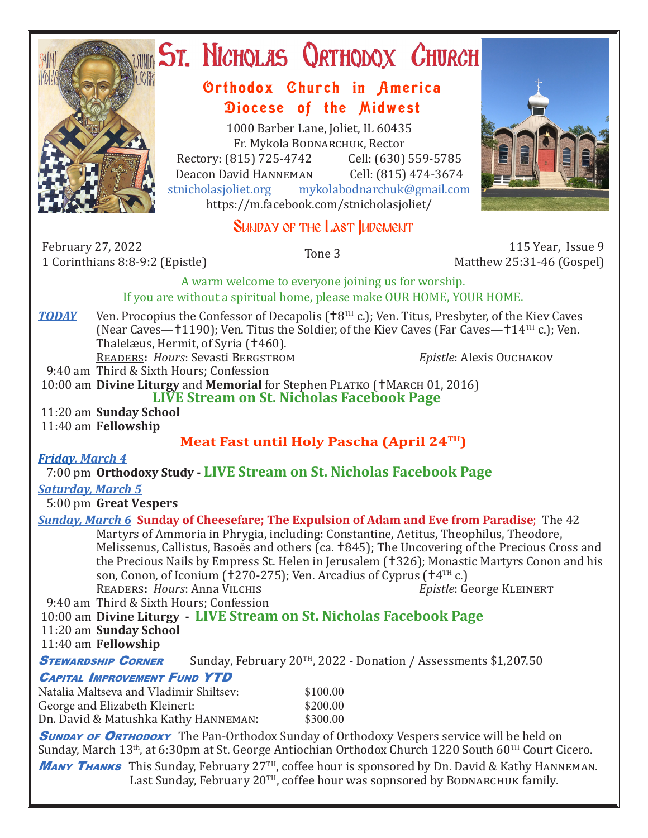

# ST. NICHOLAS QRTHODOX CHURCH

## Orthodox Church in America Diocese of the Midwest

1000 Barber Lane, Joliet, IL 60435 Fr. Mykola Bodnarchuk, Rector Rectory: (815) 725-4742 Cell: (630) 559-5785<br>Deacon David HANNEMAN Cell: (815) 474-3674 Deacon David Hanneman<br>stnicholasioliet.org mykola mykolabodnarchuk@gmail.com https://m.facebook.com/stnicholasjoliet/

## SUNDAY OF THE LAST IUDGMENT

February 27, 2022 1 Corinthians 8:8-9:2 (Epistle) Tone 3 115 Year, Issue 9

Matthew 25:31-46 (Gospel)

A warm welcome to everyone joining us for worship.

#### If you are without a spiritual home, please make OUR HOME, YOUR HOME.

**TODAY** Ven. Procopius the Confessor of Decapolis ( $\text{+8}^{\text{TH}}$  c.); Ven. Titus, Presbyter, of the Kiev Caves (Near Caves— $+1190$ ); Ven. Titus the Soldier, of the Kiev Caves (Far Caves— $+14$ <sup>TH</sup> c.); Ven. Thalelæus, Hermit, of Syria (†460). Readers**:** *Hours*: Sevasti Bergstrom *Epistle*: Alexis Ouchakov

9:40 am Third & Sixth Hours; Confession

10:00 am **Divine Liturgy** and **Memorial** for Stephen PLATKO (†MARCH 01, 2016)

**LIVE Stream on St. Nicholas Facebook Page**

 11:20 am **Sunday School** 11:40 am **Fellowship**

#### **Meat Fast until Holy Pascha (April 24TH)**

*Friday, March 4* 

7:00 pm **Orthodoxy Study - LIVE Stream on St. Nicholas Facebook Page**

#### *Saturday, March 5*

5:00 pm **Great Vespers**

#### *Sunday, March 6* **Sunday of Cheesefare; The Expulsion of Adam and Eve from Paradise**; The 42 Martyrs of Ammoria in Phrygia, including: Constantine, Aetitus, Theophilus, Theodore,

Melissenus, Callistus, Basoës and others (ca.  $\pm 845$ ); The Uncovering of the Precious Cross and the Precious Nails by Empress St. Helen in Jerusalem (†326); Monastic Martyrs Conon and his son, Conon, of Iconium (†270-275); Ven. Arcadius of Cyprus († $4^{TH}$  c.)<br>READERS: Hours: Anna VILCHIS Epistle: George KLEINERT READERS: *Hours*: Anna VILCHIS

9:40 am Third & Sixth Hours; Confession

10:00 am **Divine Liturgy - LIVE Stream on St. Nicholas Facebook Page**

11:20 am **Sunday School**

11:40 am **Fellowship**

**STEWARDSHIP CORNER** Sunday, February 20<sup>TH</sup>, 2022 - Donation / Assessments \$1,207.50

#### Capital Improvement Fund YTD

| Natalia Maltseva and Vladimir Shiltsev: | \$100.00 |
|-----------------------------------------|----------|
| George and Elizabeth Kleinert:          | \$200.00 |
| Dn. David & Matushka Kathy HANNEMAN:    | \$300.00 |

**SUNDAY OF ORTHODOXY** The Pan-Orthodox Sunday of Orthodoxy Vespers service will be held on Sunday, March 13<sup>th</sup>, at 6:30pm at St. George Antiochian Orthodox Church 1220 South 60<sup>TH</sup> Court Cicero.

**MANY THANKS** This Sunday, February 27<sup>TH</sup>, coffee hour is sponsored by Dn. David & Kathy HANNEMAN. Last Sunday, February 20<sup>TH</sup>, coffee hour was sopnsored by BODNARCHUK family.